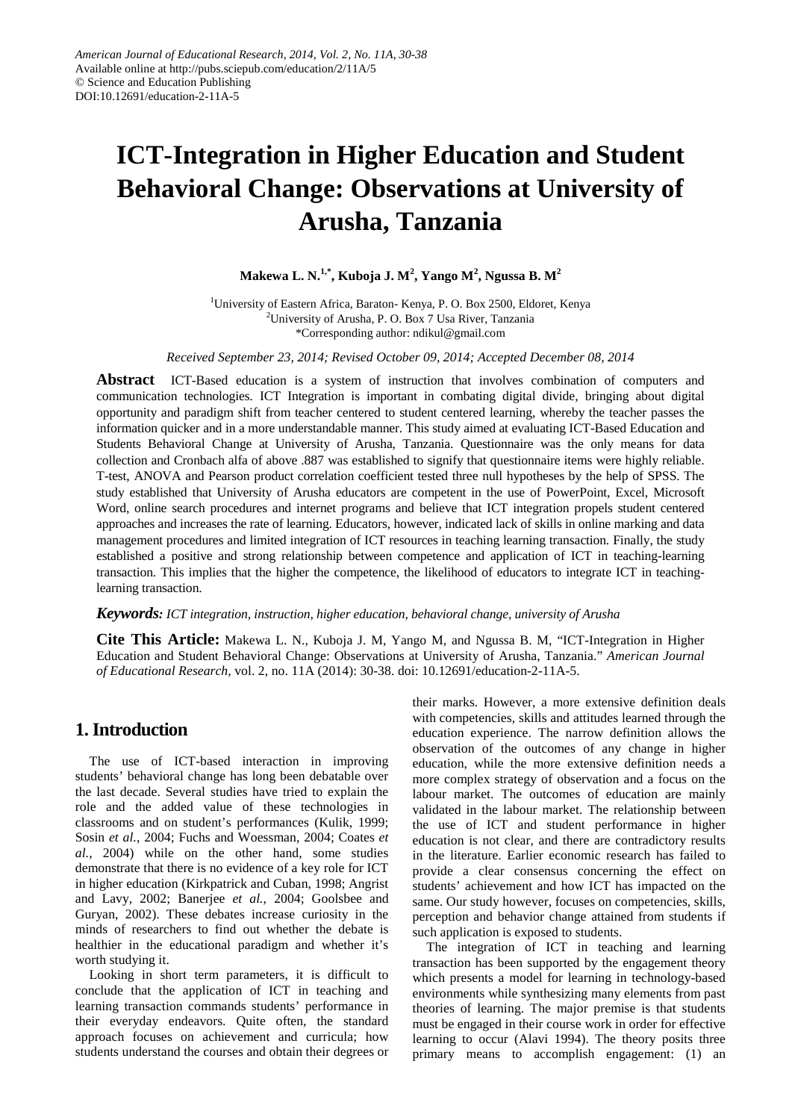# **ICT-Integration in Higher Education and Student Behavioral Change: Observations at University of Arusha, Tanzania**

### **Makewa L. N.1,\*, Kuboja J. M<sup>2</sup> , Yango M<sup>2</sup> , Ngussa B. M<sup>2</sup>**

<sup>1</sup>University of Eastern Africa, Baraton- Kenya, P. O. Box 2500, Eldoret, Kenya 2 University of Arusha, P. O. Box 7 Usa River, Tanzania \*Corresponding author: ndikul@gmail.com

*Received September 23, 2014; Revised October 09, 2014; Accepted December 08, 2014*

**Abstract** ICT-Based education is a system of instruction that involves combination of computers and communication technologies. ICT Integration is important in combating digital divide, bringing about digital opportunity and paradigm shift from teacher centered to student centered learning, whereby the teacher passes the information quicker and in a more understandable manner. This study aimed at evaluating ICT-Based Education and Students Behavioral Change at University of Arusha, Tanzania. Questionnaire was the only means for data collection and Cronbach alfa of above .887 was established to signify that questionnaire items were highly reliable. T-test, ANOVA and Pearson product correlation coefficient tested three null hypotheses by the help of SPSS. The study established that University of Arusha educators are competent in the use of PowerPoint, Excel, Microsoft Word, online search procedures and internet programs and believe that ICT integration propels student centered approaches and increases the rate of learning. Educators, however, indicated lack of skills in online marking and data management procedures and limited integration of ICT resources in teaching learning transaction. Finally, the study established a positive and strong relationship between competence and application of ICT in teaching-learning transaction. This implies that the higher the competence, the likelihood of educators to integrate ICT in teachinglearning transaction.

#### *Keywords: ICT integration, instruction, higher education, behavioral change, university of Arusha*

**Cite This Article:** Makewa L. N., Kuboja J. M, Yango M, and Ngussa B. M, "ICT-Integration in Higher Education and Student Behavioral Change: Observations at University of Arusha, Tanzania." *American Journal of Educational Research*, vol. 2, no. 11A (2014): 30-38. doi: 10.12691/education-2-11A-5.

# **1. Introduction**

The use of ICT-based interaction in improving students' behavioral change has long been debatable over the last decade. Several studies have tried to explain the role and the added value of these technologies in classrooms and on student's performances (Kulik, 1999; Sosin *et al.*, 2004; Fuchs and Woessman, 2004; Coates *et al.*, 2004) while on the other hand, some studies demonstrate that there is no evidence of a key role for ICT in higher education (Kirkpatrick and Cuban, 1998; Angrist and Lavy, 2002; Banerjee *et al.*, 2004; Goolsbee and Guryan, 2002). These debates increase curiosity in the minds of researchers to find out whether the debate is healthier in the educational paradigm and whether it's worth studying it.

Looking in short term parameters, it is difficult to conclude that the application of ICT in teaching and learning transaction commands students' performance in their everyday endeavors. Quite often, the standard approach focuses on achievement and curricula; how students understand the courses and obtain their degrees or their marks. However, a more extensive definition deals with competencies, skills and attitudes learned through the education experience. The narrow definition allows the observation of the outcomes of any change in higher education, while the more extensive definition needs a more complex strategy of observation and a focus on the labour market. The outcomes of education are mainly validated in the labour market. The relationship between the use of ICT and student performance in higher education is not clear, and there are contradictory results in the literature. Earlier economic research has failed to provide a clear consensus concerning the effect on students' achievement and how ICT has impacted on the same. Our study however, focuses on competencies, skills, perception and behavior change attained from students if such application is exposed to students.

The integration of ICT in teaching and learning transaction has been supported by the engagement theory which presents a model for learning in technology-based environments while synthesizing many elements from past theories of learning. The major premise is that students must be engaged in their course work in order for effective learning to occur (Alavi 1994). The theory posits three primary means to accomplish engagement: (1) an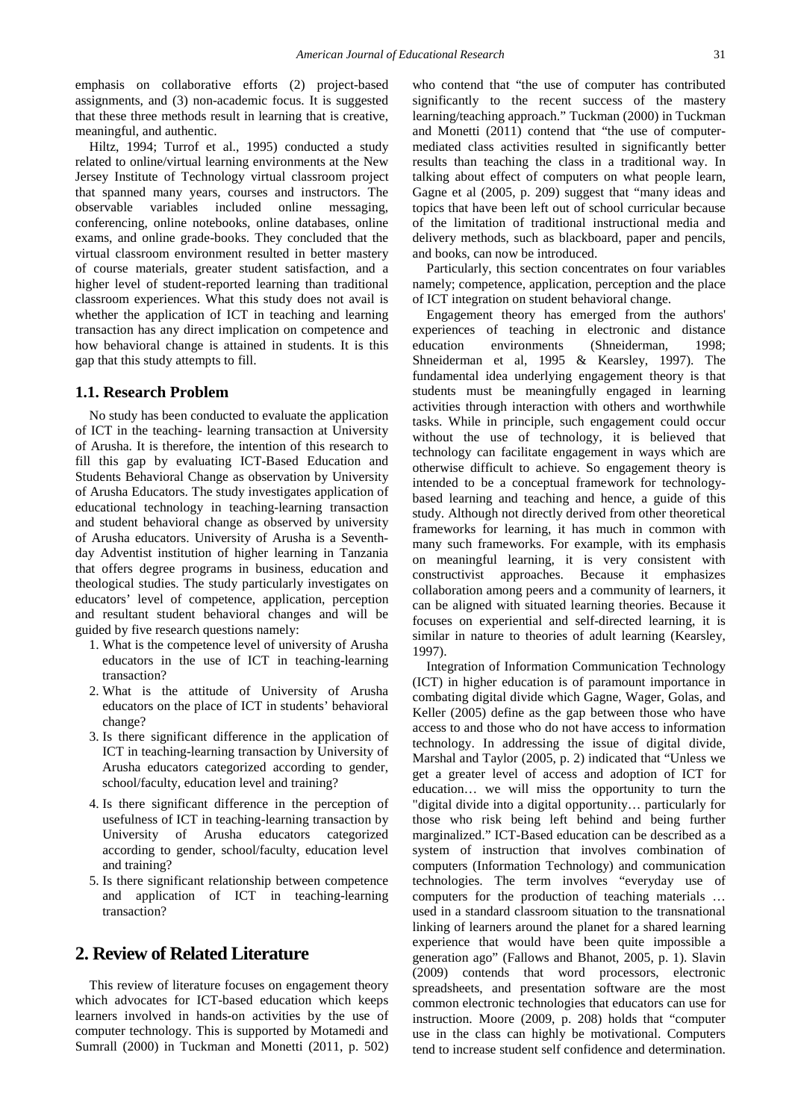emphasis on collaborative efforts (2) project-based assignments, and (3) non-academic focus. It is suggested that these three methods result in learning that is creative, meaningful, and authentic.

Hiltz, 1994; Turrof et al., 1995) conducted a study related to online/virtual learning environments at the New Jersey Institute of Technology virtual classroom project that spanned many years, courses and instructors. The observable variables included online messaging, conferencing, online notebooks, online databases, online exams, and online grade-books. They concluded that the virtual classroom environment resulted in better mastery of course materials, greater student satisfaction, and a higher level of student-reported learning than traditional classroom experiences. What this study does not avail is whether the application of ICT in teaching and learning transaction has any direct implication on competence and how behavioral change is attained in students. It is this gap that this study attempts to fill.

#### **1.1. Research Problem**

No study has been conducted to evaluate the application of ICT in the teaching- learning transaction at University of Arusha. It is therefore, the intention of this research to fill this gap by evaluating ICT-Based Education and Students Behavioral Change as observation by University of Arusha Educators. The study investigates application of educational technology in teaching-learning transaction and student behavioral change as observed by university of Arusha educators. University of Arusha is a Seventhday Adventist institution of higher learning in Tanzania that offers degree programs in business, education and theological studies. The study particularly investigates on educators' level of competence, application, perception and resultant student behavioral changes and will be guided by five research questions namely:

- 1. What is the competence level of university of Arusha educators in the use of ICT in teaching-learning transaction?
- 2. What is the attitude of University of Arusha educators on the place of ICT in students' behavioral change?
- 3. Is there significant difference in the application of ICT in teaching-learning transaction by University of Arusha educators categorized according to gender, school/faculty, education level and training?
- 4. Is there significant difference in the perception of usefulness of ICT in teaching-learning transaction by University of Arusha educators categorized according to gender, school/faculty, education level and training?
- 5. Is there significant relationship between competence and application of ICT in teaching-learning transaction?

# **2. Review of Related Literature**

This review of literature focuses on engagement theory which advocates for ICT-based education which keeps learners involved in hands-on activities by the use of computer technology. This is supported by Motamedi and Sumrall (2000) in Tuckman and Monetti (2011, p. 502)

who contend that "the use of computer has contributed significantly to the recent success of the mastery learning/teaching approach." Tuckman (2000) in Tuckman and Monetti (2011) contend that "the use of computermediated class activities resulted in significantly better results than teaching the class in a traditional way. In talking about effect of computers on what people learn, Gagne et al (2005, p. 209) suggest that "many ideas and topics that have been left out of school curricular because of the limitation of traditional instructional media and delivery methods, such as blackboard, paper and pencils, and books, can now be introduced.

Particularly, this section concentrates on four variables namely; competence, application, perception and the place of ICT integration on student behavioral change.

Engagement theory has emerged from the authors' experiences of teaching in electronic and distance education environments (Shneiderman, 1998; Shneiderman et al, 1995 & Kearsley, 1997). The fundamental idea underlying engagement theory is that students must be meaningfully engaged in learning activities through interaction with others and worthwhile tasks. While in principle, such engagement could occur without the use of technology, it is believed that technology can facilitate engagement in ways which are otherwise difficult to achieve. So engagement theory is intended to be a conceptual framework for technologybased learning and teaching and hence, a guide of this study. Although not directly derived from other theoretical frameworks for learning, it has much in common with many such frameworks. For example, with its emphasis on meaningful learning, it is very consistent with constructivist approaches. Because it emphasizes collaboration among peers and a community of learners, it can be aligned with situated learning theories. Because it focuses on experiential and self-directed learning, it is similar in nature to theories of adult learning (Kearsley, 1997).

Integration of Information Communication Technology (ICT) in higher education is of paramount importance in combating digital divide which Gagne, Wager, Golas, and Keller (2005) define as the gap between those who have access to and those who do not have access to information technology. In addressing the issue of digital divide, Marshal and Taylor (2005, p. 2) indicated that "Unless we get a greater level of access and adoption of ICT for education… we will miss the opportunity to turn the "digital divide into a digital opportunity… particularly for those who risk being left behind and being further marginalized." ICT-Based education can be described as a system of instruction that involves combination of computers (Information Technology) and communication technologies. The term involves "everyday use of computers for the production of teaching materials … used in a standard classroom situation to the transnational linking of learners around the planet for a shared learning experience that would have been quite impossible a generation ago" (Fallows and Bhanot, 2005, p. 1). Slavin (2009) contends that word processors, electronic spreadsheets, and presentation software are the most common electronic technologies that educators can use for instruction. Moore (2009, p. 208) holds that "computer use in the class can highly be motivational. Computers tend to increase student self confidence and determination.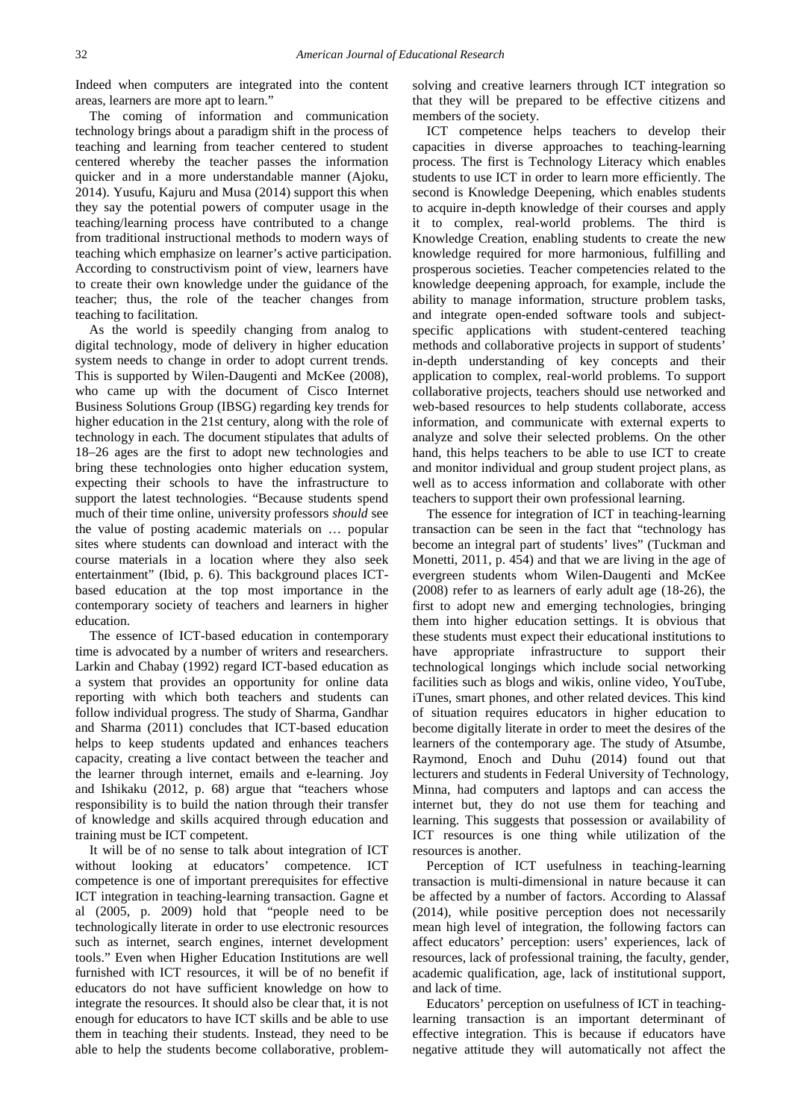Indeed when computers are integrated into the content areas, learners are more apt to learn."

The coming of information and communication technology brings about a paradigm shift in the process of teaching and learning from teacher centered to student centered whereby the teacher passes the information quicker and in a more understandable manner (Ajoku, 2014). Yusufu, Kajuru and Musa (2014) support this when they say the potential powers of computer usage in the teaching/learning process have contributed to a change from traditional instructional methods to modern ways of teaching which emphasize on learner's active participation. According to constructivism point of view, learners have to create their own knowledge under the guidance of the teacher; thus, the role of the teacher changes from teaching to facilitation.

As the world is speedily changing from analog to digital technology, mode of delivery in higher education system needs to change in order to adopt current trends. This is supported by Wilen-Daugenti and McKee (2008), who came up with the document of Cisco Internet Business Solutions Group (IBSG) regarding key trends for higher education in the 21st century, along with the role of technology in each. The document stipulates that adults of 18–26 ages are the first to adopt new technologies and bring these technologies onto higher education system, expecting their schools to have the infrastructure to support the latest technologies. "Because students spend much of their time online, university professors *should* see the value of posting academic materials on … popular sites where students can download and interact with the course materials in a location where they also seek entertainment" (Ibid, p. 6). This background places ICTbased education at the top most importance in the contemporary society of teachers and learners in higher education.

The essence of ICT-based education in contemporary time is advocated by a number of writers and researchers. Larkin and Chabay (1992) regard ICT-based education as a system that provides an opportunity for online data reporting with which both teachers and students can follow individual progress. The study of Sharma, Gandhar and Sharma (2011) concludes that ICT-based education helps to keep students updated and enhances teachers capacity, creating a live contact between the teacher and the learner through internet, emails and e-learning. Joy and Ishikaku (2012, p. 68) argue that "teachers whose responsibility is to build the nation through their transfer of knowledge and skills acquired through education and training must be ICT competent.

It will be of no sense to talk about integration of ICT without looking at educators' competence. ICT competence is one of important prerequisites for effective ICT integration in teaching-learning transaction. Gagne et al (2005, p. 2009) hold that "people need to be technologically literate in order to use electronic resources such as internet, search engines, internet development tools." Even when Higher Education Institutions are well furnished with ICT resources, it will be of no benefit if educators do not have sufficient knowledge on how to integrate the resources. It should also be clear that, it is not enough for educators to have ICT skills and be able to use them in teaching their students. Instead, they need to be able to help the students become collaborative, problemsolving and creative learners through ICT integration so that they will be prepared to be effective citizens and members of the society.

ICT competence helps teachers to develop their capacities in diverse approaches to teaching-learning process. The first is Technology Literacy which enables students to use ICT in order to learn more efficiently. The second is Knowledge Deepening, which enables students to acquire in-depth knowledge of their courses and apply it to complex, real-world problems. The third is Knowledge Creation, enabling students to create the new knowledge required for more harmonious, fulfilling and prosperous societies. Teacher competencies related to the knowledge deepening approach, for example, include the ability to manage information, structure problem tasks, and integrate open-ended software tools and subjectspecific applications with student-centered teaching methods and collaborative projects in support of students' in-depth understanding of key concepts and their application to complex, real-world problems. To support collaborative projects, teachers should use networked and web-based resources to help students collaborate, access information, and communicate with external experts to analyze and solve their selected problems. On the other hand, this helps teachers to be able to use ICT to create and monitor individual and group student project plans, as well as to access information and collaborate with other teachers to support their own professional learning.

The essence for integration of ICT in teaching-learning transaction can be seen in the fact that "technology has become an integral part of students' lives" (Tuckman and Monetti, 2011, p. 454) and that we are living in the age of evergreen students whom Wilen-Daugenti and McKee (2008) refer to as learners of early adult age (18-26), the first to adopt new and emerging technologies, bringing them into higher education settings. It is obvious that these students must expect their educational institutions to have appropriate infrastructure to support their technological longings which include social networking facilities such as blogs and wikis, online video, YouTube, iTunes, smart phones, and other related devices. This kind of situation requires educators in higher education to become digitally literate in order to meet the desires of the learners of the contemporary age. The study of Atsumbe, Raymond, Enoch and Duhu (2014) found out that lecturers and students in Federal University of Technology, Minna, had computers and laptops and can access the internet but, they do not use them for teaching and learning. This suggests that possession or availability of ICT resources is one thing while utilization of the resources is another.

Perception of ICT usefulness in teaching-learning transaction is multi-dimensional in nature because it can be affected by a number of factors. According to Alassaf (2014), while positive perception does not necessarily mean high level of integration, the following factors can affect educators' perception: users' experiences, lack of resources, lack of professional training, the faculty, gender, academic qualification, age, lack of institutional support, and lack of time.

Educators' perception on usefulness of ICT in teachinglearning transaction is an important determinant of effective integration. This is because if educators have negative attitude they will automatically not affect the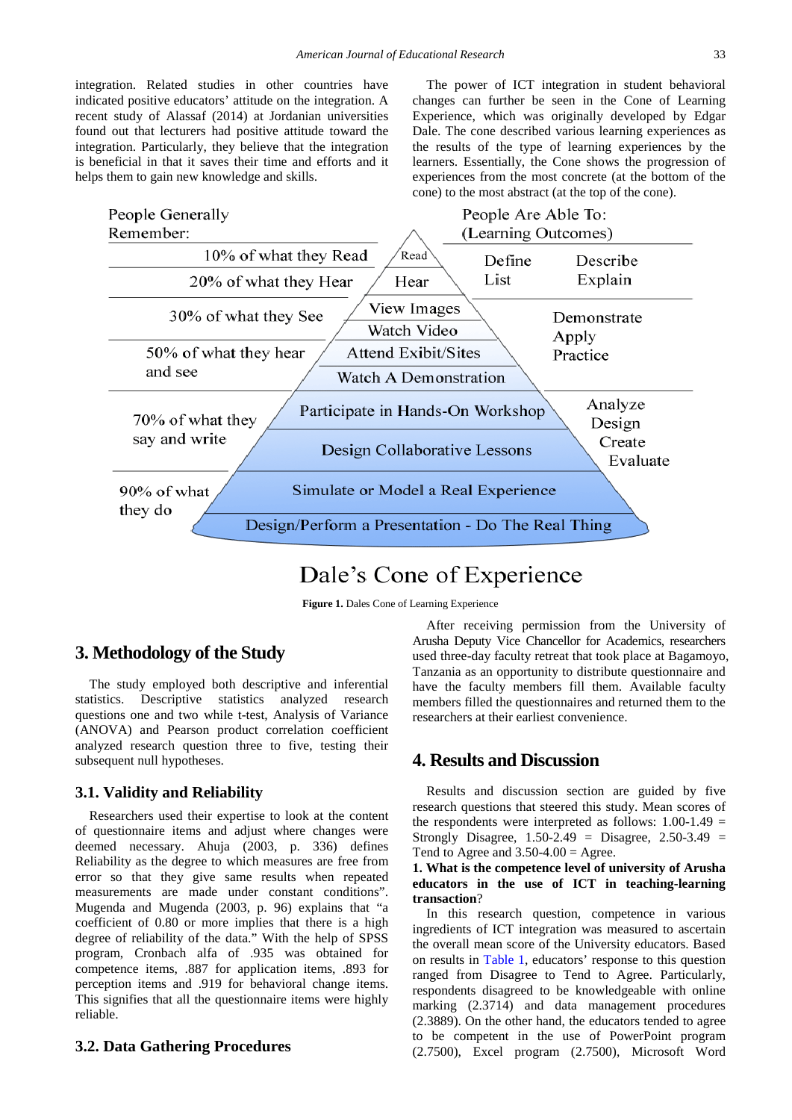integration. Related studies in other countries have indicated positive educators' attitude on the integration. A recent study of Alassaf (2014) at Jordanian universities found out that lecturers had positive attitude toward the integration. Particularly, they believe that the integration is beneficial in that it saves their time and efforts and it helps them to gain new knowledge and skills.

The power of ICT integration in student behavioral changes can further be seen in the Cone of Learning Experience, which was originally developed by Edgar Dale. The cone described various learning experiences as the results of the type of learning experiences by the learners. Essentially, the Cone shows the progression of experiences from the most concrete (at the bottom of the cone) to the most abstract (at the top of the cone).



# Dale's Cone of Experience

**Figure 1.** Dales Cone of Learning Experience

# **3. Methodology of the Study**

The study employed both descriptive and inferential statistics. Descriptive statistics analyzed research questions one and two while t-test, Analysis of Variance (ANOVA) and Pearson product correlation coefficient analyzed research question three to five, testing their subsequent null hypotheses.

#### **3.1. Validity and Reliability**

Researchers used their expertise to look at the content of questionnaire items and adjust where changes were deemed necessary. Ahuja (2003, p. 336) defines Reliability as the degree to which measures are free from error so that they give same results when repeated measurements are made under constant conditions". Mugenda and Mugenda (2003, p. 96) explains that "a coefficient of 0.80 or more implies that there is a high degree of reliability of the data." With the help of SPSS program, Cronbach alfa of .935 was obtained for competence items, .887 for application items, .893 for perception items and .919 for behavioral change items. This signifies that all the questionnaire items were highly reliable.

#### **3.2. Data Gathering Procedures**

After receiving permission from the University of Arusha Deputy Vice Chancellor for Academics, researchers used three-day faculty retreat that took place at Bagamoyo, Tanzania as an opportunity to distribute questionnaire and have the faculty members fill them. Available faculty members filled the questionnaires and returned them to the researchers at their earliest convenience.

## **4. Results and Discussion**

Results and discussion section are guided by five research questions that steered this study. Mean scores of the respondents were interpreted as follows:  $1.00-1.49 =$ Strongly Disagree,  $1.50 - 2.49 =$  Disagree,  $2.50 - 3.49 =$ Tend to Agree and  $3.50 - 4.00 =$  Agree.

#### **1. What is the competence level of university of Arusha educators in the use of ICT in teaching-learning transaction**?

In this research question, competence in various ingredients of ICT integration was measured to ascertain the overall mean score of the University educators. Based on results in [Table 1,](#page-4-0) educators' response to this question ranged from Disagree to Tend to Agree. Particularly, respondents disagreed to be knowledgeable with online marking (2.3714) and data management procedures (2.3889). On the other hand, the educators tended to agree to be competent in the use of PowerPoint program (2.7500), Excel program (2.7500), Microsoft Word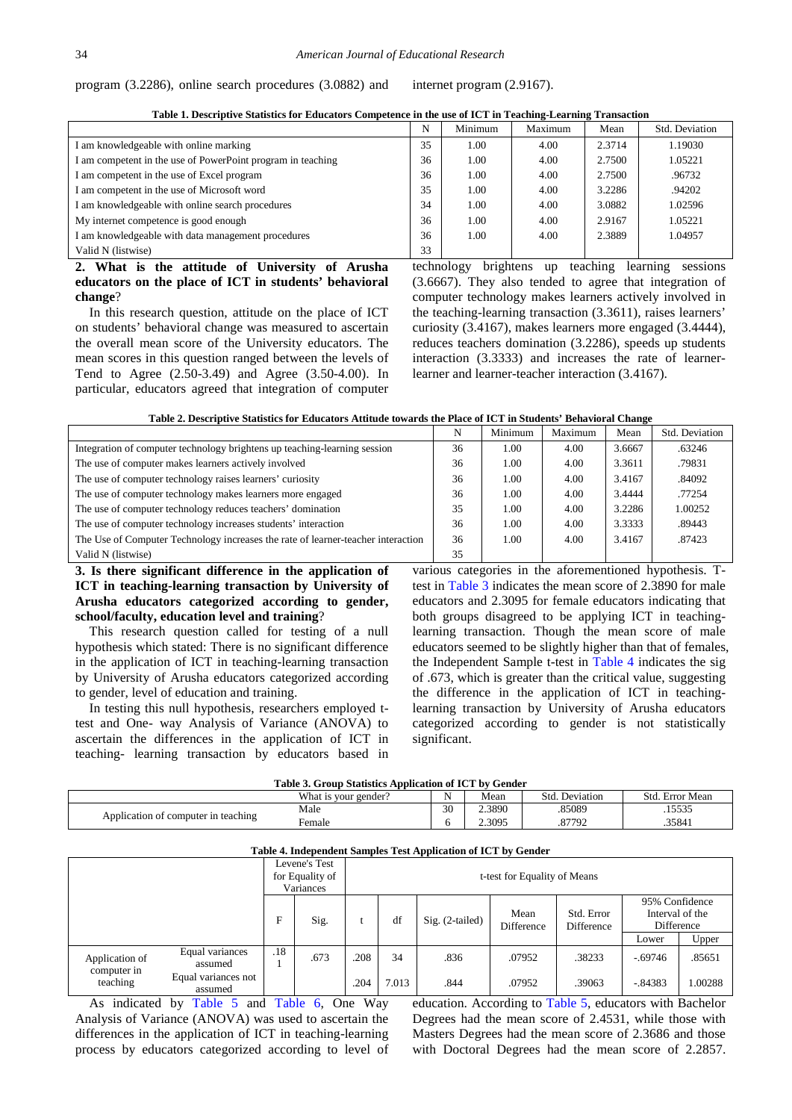| program $(3.2286)$ , online search procedures $(3.0882)$ and |  |  |  | internet program (2.9167). |
|--------------------------------------------------------------|--|--|--|----------------------------|
|--------------------------------------------------------------|--|--|--|----------------------------|

**Table 1. Descriptive Statistics for Educators Competence in the use of ICT in Teaching-Learning Transaction**

<span id="page-4-0"></span>

|                                                             | N  | Minimum | Maximum | Mean   | Std. Deviation |
|-------------------------------------------------------------|----|---------|---------|--------|----------------|
| I am knowledgeable with online marking                      | 35 | 1.00    | 4.00    | 2.3714 | 1.19030        |
| I am competent in the use of PowerPoint program in teaching | 36 | 1.00    | 4.00    | 2.7500 | 1.05221        |
| I am competent in the use of Excel program                  | 36 | 1.00    | 4.00    | 2.7500 | .96732         |
| I am competent in the use of Microsoft word                 | 35 | 1.00    | 4.00    | 3.2286 | .94202         |
| I am knowledgeable with online search procedures            | 34 | 1.00    | 4.00    | 3.0882 | 1.02596        |
| My internet competence is good enough                       | 36 | 1.00    | 4.00    | 2.9167 | 1.05221        |
| I am knowledgeable with data management procedures          | 36 | 1.00    | 4.00    | 2.3889 | 1.04957        |
| Valid N (listwise)                                          | 33 |         |         |        |                |

**2. What is the attitude of University of Arusha educators on the place of ICT in students' behavioral change**?

In this research question, attitude on the place of ICT on students' behavioral change was measured to ascertain the overall mean score of the University educators. The mean scores in this question ranged between the levels of Tend to Agree (2.50-3.49) and Agree (3.50-4.00). In particular, educators agreed that integration of computer

technology brightens up teaching learning sessions (3.6667). They also tended to agree that integration of computer technology makes learners actively involved in the teaching-learning transaction (3.3611), raises learners' curiosity (3.4167), makes learners more engaged (3.4444), reduces teachers domination (3.2286), speeds up students interaction (3.3333) and increases the rate of learnerlearner and learner-teacher interaction (3.4167).

**Table 2. Descriptive Statistics for Educators Attitude towards the Place of ICT in Students' Behavioral Change**

|                                                                                  | N  | Minimum | Maximum | Mean   | Std. Deviation |
|----------------------------------------------------------------------------------|----|---------|---------|--------|----------------|
| Integration of computer technology brightens up teaching-learning session        | 36 | 1.00    | 4.00    | 3.6667 | .63246         |
| The use of computer makes learners actively involved                             | 36 | 1.00    | 4.00    | 3.3611 | .79831         |
| The use of computer technology raises learners' curiosity                        | 36 | 1.00    | 4.00    | 3.4167 | .84092         |
| The use of computer technology makes learners more engaged                       | 36 | 1.00    | 4.00    | 3.4444 | .77254         |
| The use of computer technology reduces teachers' domination                      | 35 | 1.00    | 4.00    | 3.2286 | 1.00252        |
| The use of computer technology increases students' interaction                   | 36 | 1.00    | 4.00    | 3.3333 | .89443         |
| The Use of Computer Technology increases the rate of learner-teacher interaction | 36 | 1.00    | 4.00    | 3.4167 | .87423         |
| Valid N (listwise)                                                               | 35 |         |         |        |                |

**3. Is there significant difference in the application of ICT in teaching-learning transaction by University of Arusha educators categorized according to gender, school/faculty, education level and training**?

This research question called for testing of a null hypothesis which stated: There is no significant difference in the application of ICT in teaching-learning transaction by University of Arusha educators categorized according to gender, level of education and training.

In testing this null hypothesis, researchers employed ttest and One- way Analysis of Variance (ANOVA) to ascertain the differences in the application of ICT in teaching- learning transaction by educators based in

various categories in the aforementioned hypothesis. Ttest in [Table 3](#page-4-1) indicates the mean score of 2.3890 for male educators and 2.3095 for female educators indicating that both groups disagreed to be applying ICT in teachinglearning transaction. Though the mean score of male educators seemed to be slightly higher than that of females, the Independent Sample t-test in [Table 4](#page-4-2) indicates the sig of .673, which is greater than the critical value, suggesting the difference in the application of ICT in teachinglearning transaction by University of Arusha educators categorized according to gender is not statistically significant.

|  | Table 3. Group Statistics Application of ICT by Gender |  |
|--|--------------------------------------------------------|--|
|  |                                                        |  |

<span id="page-4-1"></span>

| AMMAR DI WA YAN DINAMUZIKU LADIBARNINGA VA AU A M I WEAMRA |                      |    |        |                   |                    |  |  |  |  |  |
|------------------------------------------------------------|----------------------|----|--------|-------------------|--------------------|--|--|--|--|--|
|                                                            | What is your gender? | N  | Mean   | Deviation<br>Std. | Std.<br>Error Mean |  |  |  |  |  |
|                                                            | Male                 | 30 | 2.3890 | 85089             | 15535<br>.         |  |  |  |  |  |
| Application of computer in teaching                        | ∀emale               |    | 2.3095 | 87792<br>.٥       | .35841             |  |  |  |  |  |

<span id="page-4-2"></span>

|                               | Table 4. Independent Samples Test Application of ICT by Gender |      |                                               |      |                   |                              |                          |                                                 |            |         |  |  |
|-------------------------------|----------------------------------------------------------------|------|-----------------------------------------------|------|-------------------|------------------------------|--------------------------|-------------------------------------------------|------------|---------|--|--|
|                               |                                                                |      | Levene's Test<br>for Equality of<br>Variances |      |                   | t-test for Equality of Means |                          |                                                 |            |         |  |  |
|                               | F                                                              | Sig. |                                               | df   | $Sig. (2-tailed)$ | Mean<br>Difference           | Std. Error<br>Difference | 95% Confidence<br>Interval of the<br>Difference |            |         |  |  |
|                               |                                                                |      |                                               |      |                   |                              |                          |                                                 | Lower      | Upper   |  |  |
| Application of<br>computer in | Equal variances<br>assumed                                     | .18  | .673                                          | .208 | 34                | .836                         | .07952                   | .38233                                          | $-0.69746$ | .85651  |  |  |
| teaching                      | Equal variances not<br>assumed                                 |      |                                               | .204 | 7.013             | .844                         | .07952                   | .39063                                          | $-0.84383$ | 1.00288 |  |  |

As indicated by [Table 5](#page-5-0) and [Table 6,](#page-5-1) One Way Analysis of Variance (ANOVA) was used to ascertain the differences in the application of ICT in teaching-learning process by educators categorized according to level of education. According to [Table 5,](#page-5-0) educators with Bachelor Degrees had the mean score of 2.4531, while those with Masters Degrees had the mean score of 2.3686 and those with Doctoral Degrees had the mean score of 2.2857.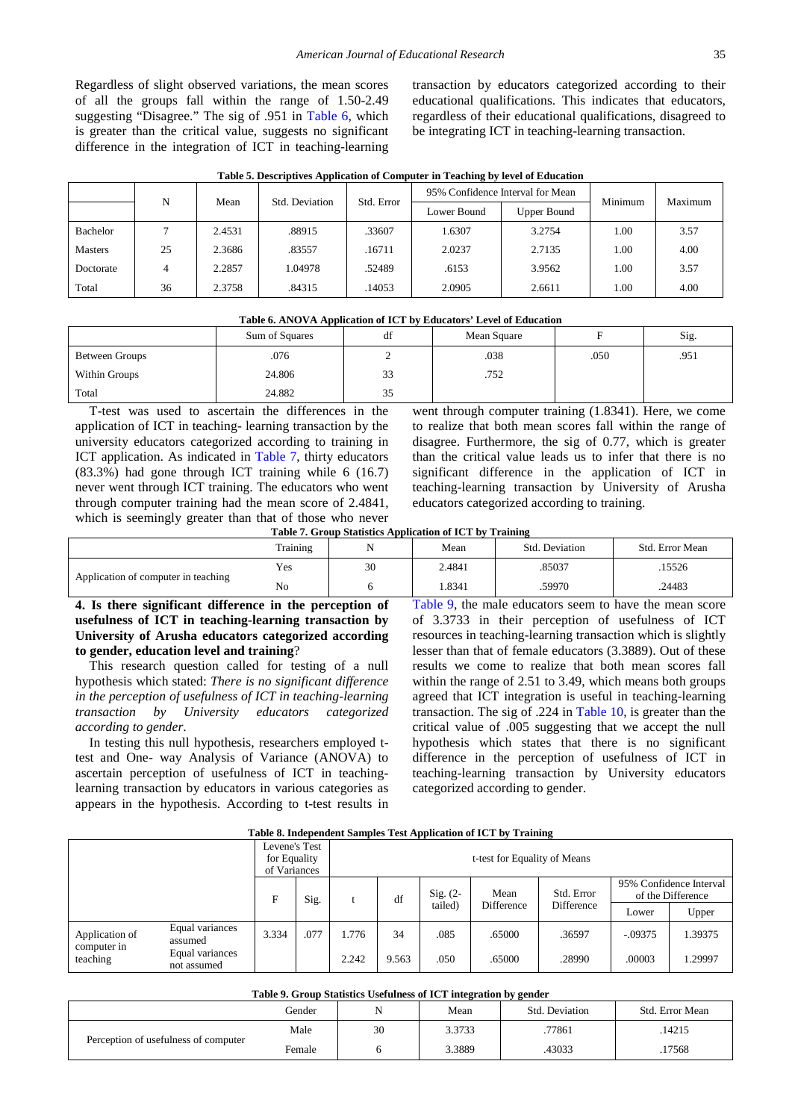Regardless of slight observed variations, the mean scores of all the groups fall within the range of 1.50-2.49 suggesting "Disagree." The sig of .951 in [Table 6,](#page-5-1) which is greater than the critical value, suggests no significant difference in the integration of ICT in teaching-learning transaction by educators categorized according to their educational qualifications. This indicates that educators, regardless of their educational qualifications, disagreed to be integrating ICT in teaching-learning transaction.

| Table 5. Descriptives Application of Computer in Teaching by level of Education |  |
|---------------------------------------------------------------------------------|--|
|---------------------------------------------------------------------------------|--|

<span id="page-5-0"></span>

|                | N  | Mean   | Std. Deviation | Std. Error | 95% Confidence Interval for Mean |                    | Minimum | Maximum |
|----------------|----|--------|----------------|------------|----------------------------------|--------------------|---------|---------|
|                |    |        |                |            | Lower Bound                      | <b>Upper Bound</b> |         |         |
| Bachelor       |    | 2.4531 | .88915         | .33607     | 1.6307                           | 3.2754             | 1.00    | 3.57    |
| <b>Masters</b> | 25 | 2.3686 | .83557         | .16711     | 2.0237                           | 2.7135             | 1.00    | 4.00    |
| Doctorate      | 4  | 2.2857 | 1.04978        | .52489     | .6153                            | 3.9562             | 1.00    | 3.57    |
| Total          | 36 | 2.3758 | .84315         | .14053     | 2.0905                           | 2.6611             | 00.1    | 4.00    |

<span id="page-5-1"></span>

| <b>Table 0. AINOVA Application of ICT by Equitations</b> Level of Equitation |                |    |             |      |      |  |  |  |  |  |  |
|------------------------------------------------------------------------------|----------------|----|-------------|------|------|--|--|--|--|--|--|
|                                                                              | Sum of Squares | df | Mean Square |      | Sig. |  |  |  |  |  |  |
| Between Groups                                                               | .076           |    | .038        | .050 | .951 |  |  |  |  |  |  |
| Within Groups                                                                | 24.806         | 33 | .752        |      |      |  |  |  |  |  |  |
| Total                                                                        | 24.882         | 35 |             |      |      |  |  |  |  |  |  |

**Table 6. ANOVA Application of ICT by Educators' Level of Education**

T-test was used to ascertain the differences in the application of ICT in teaching- learning transaction by the university educators categorized according to training in ICT application. As indicated in [Table 7,](#page-5-2) thirty educators (83.3%) had gone through ICT training while 6 (16.7) never went through ICT training. The educators who went through computer training had the mean score of 2.4841, which is seemingly greater than that of those who never went through computer training (1.8341). Here, we come to realize that both mean scores fall within the range of disagree. Furthermore, the sig of 0.77, which is greater than the critical value leads us to infer that there is no significant difference in the application of ICT in teaching-learning transaction by University of Arusha educators categorized according to training.

**Table 7. Group Statistics Application of ICT by Training**

<span id="page-5-2"></span>

|                                     | Training |    | Mean   | Std. Deviation | Std. Error Mean |
|-------------------------------------|----------|----|--------|----------------|-----------------|
|                                     | Yes      | 30 | 2.4841 | .85037         | .15526          |
| Application of computer in teaching | No       |    | 1.8341 | .59970         | .24483          |

**4. Is there significant difference in the perception of usefulness of ICT in teaching-learning transaction by University of Arusha educators categorized according to gender, education level and training**?

This research question called for testing of a null hypothesis which stated: *There is no significant difference in the perception of usefulness of ICT in teaching-learning transaction by University educators categorized according to gender*.

In testing this null hypothesis, researchers employed ttest and One- way Analysis of Variance (ANOVA) to ascertain perception of usefulness of ICT in teachinglearning transaction by educators in various categories as appears in the hypothesis. According to t-test results in [Table 9,](#page-5-3) the male educators seem to have the mean score of 3.3733 in their perception of usefulness of ICT resources in teaching-learning transaction which is slightly lesser than that of female educators (3.3889). Out of these results we come to realize that both mean scores fall within the range of 2.51 to 3.49, which means both groups agreed that ICT integration is useful in teaching-learning transaction. The sig of .224 in [Table 10,](#page-6-0) is greater than the critical value of .005 suggesting that we accept the null hypothesis which states that there is no significant difference in the perception of usefulness of ICT in teaching-learning transaction by University educators categorized according to gender.

| Table 8. Hidependent Samples Test Application of ICT by Training |                                |                                               |                              |       |       |            |            |            |                                              |         |  |
|------------------------------------------------------------------|--------------------------------|-----------------------------------------------|------------------------------|-------|-------|------------|------------|------------|----------------------------------------------|---------|--|
|                                                                  |                                | Levene's Test<br>for Equality<br>of Variances | t-test for Equality of Means |       |       |            |            |            |                                              |         |  |
|                                                                  |                                | F                                             |                              | Sig.  | df    | $Sig. (2-$ | Mean       | Std. Error | 95% Confidence Interval<br>of the Difference |         |  |
|                                                                  |                                |                                               |                              |       |       | tailed)    | Difference | Difference | Lower                                        | Upper   |  |
| Application of<br>computer in                                    | Equal variances<br>assumed     | 3.334                                         | .077                         | 1.776 | 34    | .085       | .65000     | .36597     | $-.09375$                                    | 1.39375 |  |
| teaching                                                         | Equal variances<br>not assumed |                                               |                              | 2.242 | 9.563 | .050       | .65000     | .28990     | .00003                                       | .29997  |  |

**Table 8. Independent Samples Test Application of ICT by Training**

<span id="page-5-3"></span>

| Table 9. Group Statistics Usefulness of ICT integration by gender |        |    |        |        |        |  |  |  |  |  |
|-------------------------------------------------------------------|--------|----|--------|--------|--------|--|--|--|--|--|
| Std. Error Mean<br>Gender<br>Std. Deviation<br>Mean               |        |    |        |        |        |  |  |  |  |  |
| Perception of usefulness of computer                              | Male   | 30 | 3.3733 | .77861 | .14215 |  |  |  |  |  |
|                                                                   | Female |    | 3.3889 | .43033 | .17568 |  |  |  |  |  |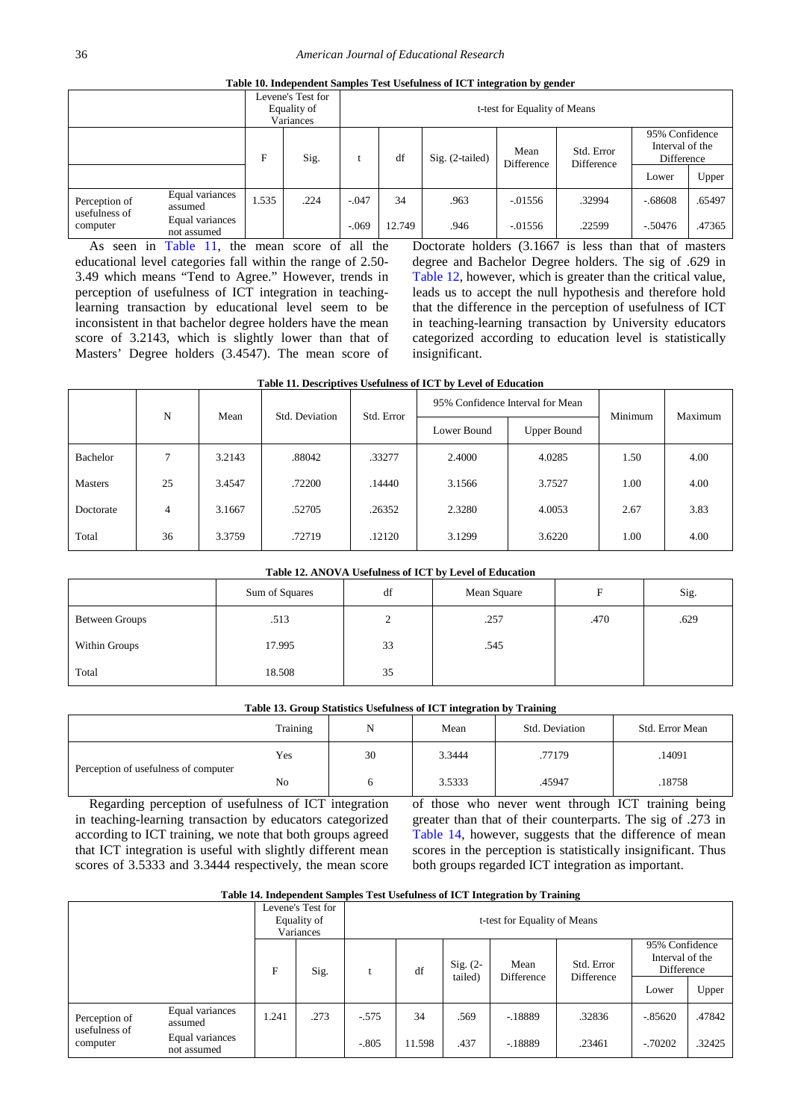| Table 10. Independent Samples Test Usefulness of ICT integration by gender |  |  |  |  |  |
|----------------------------------------------------------------------------|--|--|--|--|--|
|----------------------------------------------------------------------------|--|--|--|--|--|

<span id="page-6-0"></span>

|                                |                                |       | Levene's Test for<br>Equality of<br>Variances | t-test for Equality of Means |        |                   |                    |                          |                                                 |        |
|--------------------------------|--------------------------------|-------|-----------------------------------------------|------------------------------|--------|-------------------|--------------------|--------------------------|-------------------------------------------------|--------|
|                                |                                | F     | Sig.                                          |                              | df     | $Sig. (2-tailed)$ | Mean<br>Difference | Std. Error<br>Difference | 95% Confidence<br>Interval of the<br>Difference |        |
|                                |                                |       |                                               |                              |        |                   |                    |                          | Lower                                           | Upper  |
| Perception of<br>usefulness of | Equal variances<br>assumed     | 1.535 | .224                                          | $-.047$                      | 34     | .963              | $-0.01556$         | .32994                   | $-.68608$                                       | .65497 |
| computer                       | Equal variances<br>not assumed |       |                                               | $-.069$                      | 12.749 | .946              | $-0.01556$         | .22599                   | $-.50476$                                       | .47365 |

As seen in [Table 11,](#page-6-1) the mean score of all the educational level categories fall within the range of 2.50- 3.49 which means "Tend to Agree." However, trends in perception of usefulness of ICT integration in teachinglearning transaction by educational level seem to be inconsistent in that bachelor degree holders have the mean score of 3.2143, which is slightly lower than that of Masters' Degree holders (3.4547). The mean score of Doctorate holders (3.1667 is less than that of masters degree and Bachelor Degree holders. The sig of .629 in [Table 12,](#page-6-2) however, which is greater than the critical value, leads us to accept the null hypothesis and therefore hold that the difference in the perception of usefulness of ICT in teaching-learning transaction by University educators categorized according to education level is statistically insignificant.

<span id="page-6-1"></span>

| Table 11. Descriptives Usefulness of ICT by Level of Education |    |        |                |            |                                  |             |         |         |  |  |
|----------------------------------------------------------------|----|--------|----------------|------------|----------------------------------|-------------|---------|---------|--|--|
|                                                                |    | Mean   | Std. Deviation |            | 95% Confidence Interval for Mean |             | Minimum |         |  |  |
|                                                                | N  |        |                | Std. Error | Lower Bound                      | Upper Bound |         | Maximum |  |  |
| <b>Bachelor</b>                                                | 7  | 3.2143 | .88042         | .33277     | 2.4000                           | 4.0285      | 1.50    | 4.00    |  |  |
| <b>Masters</b>                                                 | 25 | 3.4547 | .72200         | .14440     | 3.1566                           | 3.7527      | 1.00    | 4.00    |  |  |
| Doctorate                                                      | 4  | 3.1667 | .52705         | .26352     | 2.3280                           | 4.0053      | 2.67    | 3.83    |  |  |
| Total                                                          | 36 | 3.3759 | .72719         | .12120     | 3.1299                           | 3.6220      | 1.00    | 4.00    |  |  |

#### **Table 12. ANOVA Usefulness of ICT by Level of Education**

<span id="page-6-2"></span>

|                       | Sum of Squares | df            | Mean Square | F    | Sig. |
|-----------------------|----------------|---------------|-------------|------|------|
| <b>Between Groups</b> | .513           | $\gamma$<br>∠ | .257        | .470 | .629 |
| Within Groups         | 17.995         | 33            | .545        |      |      |
| Total                 | 18.508         | 35            |             |      |      |

#### **Table 13. Group Statistics Usefulness of ICT integration by Training**

|                                      | Training | N  | Mean   | Std. Deviation | Std. Error Mean |
|--------------------------------------|----------|----|--------|----------------|-----------------|
|                                      | Yes      | 30 | 3.3444 | .77179         | .14091          |
| Perception of usefulness of computer | No       |    | 3.5333 | .45947         | .18758          |

Regarding perception of usefulness of ICT integration in teaching-learning transaction by educators categorized according to ICT training, we note that both groups agreed that ICT integration is useful with slightly different mean scores of 3.5333 and 3.3444 respectively, the mean score

of those who never went through ICT training being greater than that of their counterparts. The sig of .273 in [Table 14,](#page-6-3) however, suggests that the difference of mean scores in the perception is statistically insignificant. Thus both groups regarded ICT integration as important.

#### **Table 14. Independent Samples Test Usefulness of ICT Integration by Training**

<span id="page-6-3"></span>

|                                |                                |       | Levene's Test for<br>t-test for Equality of Means<br>Equality of<br>Variances |         |        |                       |                    |                          |                                                 |        |
|--------------------------------|--------------------------------|-------|-------------------------------------------------------------------------------|---------|--------|-----------------------|--------------------|--------------------------|-------------------------------------------------|--------|
|                                |                                | F     | Sig.                                                                          |         | df     | $Sig. (2-$<br>tailed) | Mean<br>Difference | Std. Error<br>Difference | 95% Confidence<br>Interval of the<br>Difference |        |
|                                |                                |       |                                                                               |         |        |                       |                    |                          | Lower                                           | Upper  |
| Perception of<br>usefulness of | Equal variances<br>assumed     | 1.241 | .273                                                                          | $-.575$ | 34     | .569                  | $-.18889$          | .32836                   | $-.85620$                                       | .47842 |
| computer                       | Equal variances<br>not assumed |       |                                                                               | $-.805$ | 11.598 | .437                  | $-.18889$          | .23461                   | $-0.70202$                                      | .32425 |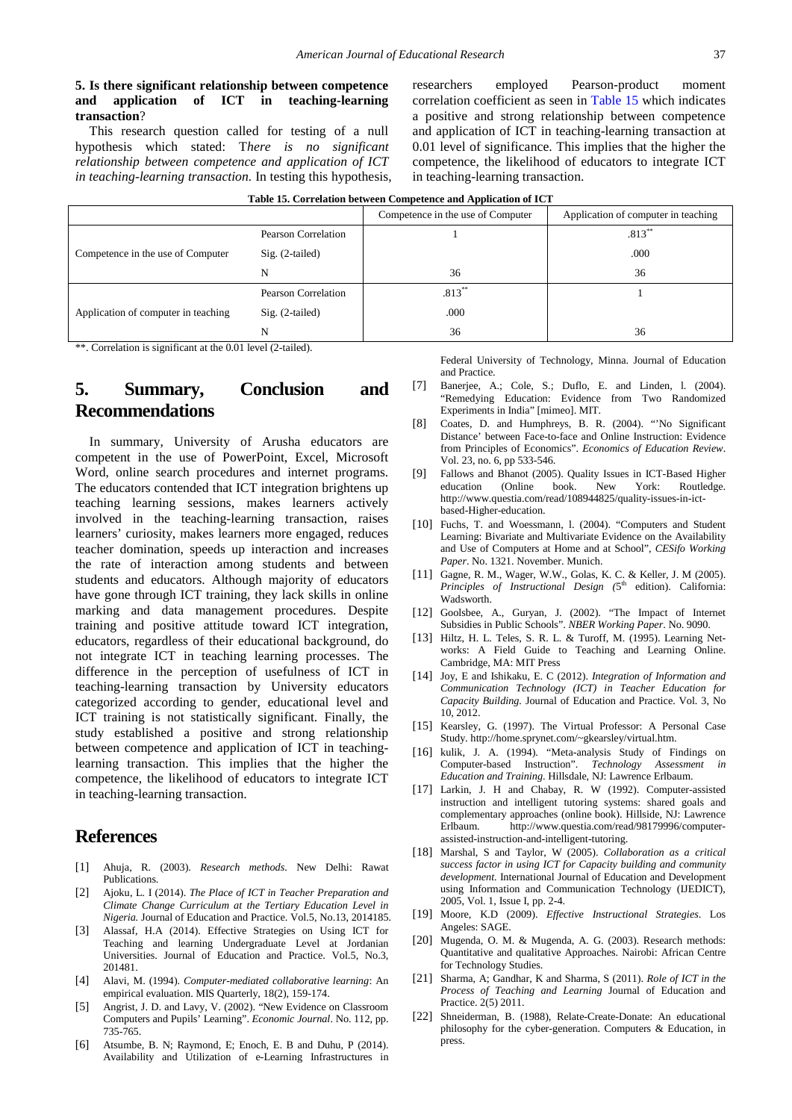#### **5. Is there significant relationship between competence and application of ICT in teaching-learning transaction**?

This research question called for testing of a null hypothesis which stated: T*here is no significant relationship between competence and application of ICT in teaching-learning transaction.* In testing this hypothesis, researchers employed Pearson-product moment correlation coefficient as seen in [Table 15](#page-7-0) which indicates a positive and strong relationship between competence and application of ICT in teaching-learning transaction at 0.01 level of significance. This implies that the higher the competence, the likelihood of educators to integrate ICT in teaching-learning transaction.

<span id="page-7-0"></span>

|                                                                     |                     | . .                               |                                     |  |  |  |  |
|---------------------------------------------------------------------|---------------------|-----------------------------------|-------------------------------------|--|--|--|--|
|                                                                     |                     | Competence in the use of Computer | Application of computer in teaching |  |  |  |  |
|                                                                     | Pearson Correlation |                                   | $.813**$                            |  |  |  |  |
| Competence in the use of Computer                                   | $Sig. (2-tailed)$   |                                   | .000                                |  |  |  |  |
|                                                                     | N                   | 36                                | 36                                  |  |  |  |  |
|                                                                     | Pearson Correlation | $.813**$                          |                                     |  |  |  |  |
| Application of computer in teaching                                 | $Sig. (2-tailed)$   | .000                              |                                     |  |  |  |  |
|                                                                     | N                   | 36                                | 36                                  |  |  |  |  |
| ** Correlation is significant at the 0.01 level $(2 \text{ total})$ |                     |                                   |                                     |  |  |  |  |

 $orrelation$  is significant at the 0.01 level (2-tailed).

# **5. Summary, Conclusion and Recommendations**

In summary, University of Arusha educators are competent in the use of PowerPoint, Excel, Microsoft Word, online search procedures and internet programs. The educators contended that ICT integration brightens up teaching learning sessions, makes learners actively involved in the teaching-learning transaction, raises learners' curiosity, makes learners more engaged, reduces teacher domination, speeds up interaction and increases the rate of interaction among students and between students and educators. Although majority of educators have gone through ICT training, they lack skills in online marking and data management procedures. Despite training and positive attitude toward ICT integration, educators, regardless of their educational background, do not integrate ICT in teaching learning processes. The difference in the perception of usefulness of ICT in teaching-learning transaction by University educators categorized according to gender, educational level and ICT training is not statistically significant. Finally, the study established a positive and strong relationship between competence and application of ICT in teachinglearning transaction. This implies that the higher the competence, the likelihood of educators to integrate ICT in teaching-learning transaction.

# **References**

- [1] Ahuja, R. (2003). *Research methods*. New Delhi: Rawat Publications.
- [2] Ajoku, L. I (2014). *The Place of ICT in Teacher Preparation and Climate Change Curriculum at the Tertiary Education Level in Nigeria.* Journal of Education and Practice. Vol.5, No.13, 2014185.
- [3] Alassaf, H.A (2014). Effective Strategies on Using ICT for Teaching and learning Undergraduate Level at Jordanian Universities. Journal of Education and Practice. Vol.5, No.3, 201481.
- [4] Alavi, M. (1994). *Computer-mediated collaborative learning*: An empirical evaluation. MIS Quarterly, 18(2), 159-174.
- [5] Angrist, J. D. and Lavy, V. (2002). "New Evidence on Classroom Computers and Pupils' Learning". *Economic Journal*. No. 112, pp. 735-765.
- [6] Atsumbe, B. N; Raymond, E; Enoch, E. B and Duhu, P (2014). Availability and Utilization of e-Learning Infrastructures in

Federal University of Technology, Minna. Journal of Education and Practice.

- [7] Banerjee, A.; Cole, S.; Duflo, E. and Linden, l. (2004). "Remedying Education: Evidence from Two Randomized Experiments in India" [mimeo]. MIT.
- [8] Coates, D. and Humphreys, B. R. (2004). "'No Significant Distance' between Face-to-face and Online Instruction: Evidence from Principles of Economics". *Economics of Education Review*. Vol. 23, no. 6, pp 533-546.
- [9] Fallows and Bhanot (2005). Quality Issues in ICT-Based Higher education (Online book. New York: Routledge. http://www.questia.com/read/108944825/quality-issues-in-ictbased-Higher-education.
- [10] Fuchs, T. and Woessmann, l. (2004). "Computers and Student Learning: Bivariate and Multivariate Evidence on the Availability and Use of Computers at Home and at School", *CESifo Working Paper*. No. 1321. November. Munich.
- [11] Gagne, R. M., Wager, W.W., Golas, K. C. & Keller, J. M (2005). *Principles of Instructional Design (5<sup>th</sup> edition). California:* Wadsworth.
- [12] Goolsbee, A., Guryan, J. (2002). "The Impact of Internet Subsidies in Public Schools". *NBER Working Paper*. No. 9090.
- [13] Hiltz, H. L. Teles, S. R. L. & Turoff, M. (1995). Learning Networks: A Field Guide to Teaching and Learning Online. Cambridge, MA: MIT Press
- [14] Joy, E and Ishikaku, E. C (2012). *Integration of Information and Communication Technology (ICT) in Teacher Education for Capacity Building.* Journal of Education and Practice. Vol. 3, No 10, 2012.
- [15] Kearsley, G. (1997). The Virtual Professor: A Personal Case Study. http://home.sprynet.com/~gkearsley/virtual.htm.
- [16] kulik, J. A. (1994). "Meta-analysis Study of Findings on Computer-based Instruction". *Technology Assessment in Education and Training*. Hillsdale, NJ: Lawrence Erlbaum.
- [17] Larkin, J. H and Chabay, R. W (1992). Computer-assisted instruction and intelligent tutoring systems: shared goals and complementary approaches (online book). Hillside, NJ: Lawrence Erlbaum. http://www.questia.com/read/98179996/computerassisted-instruction-and-intelligent-tutoring.
- [18] Marshal, S and Taylor, W (2005). *Collaboration as a critical success factor in using ICT for Capacity building and community development.* International Journal of Education and Development using Information and Communication Technology (IJEDICT), 2005, Vol. 1, Issue I, pp. 2-4.
- [19] Moore, K.D (2009). *Effective Instructional Strategies*. Los Angeles: SAGE.
- [20] Mugenda, O. M. & Mugenda, A. G. (2003). Research methods: Quantitative and qualitative Approaches. Nairobi: African Centre for Technology Studies.
- [21] Sharma, A; Gandhar, K and Sharma, S (2011). *Role of ICT in the Process of Teaching and Learning* Journal of Education and Practice. 2(5) 2011.
- [22] Shneiderman, B. (1988), Relate-Create-Donate: An educational philosophy for the cyber-generation. Computers & Education, in press.